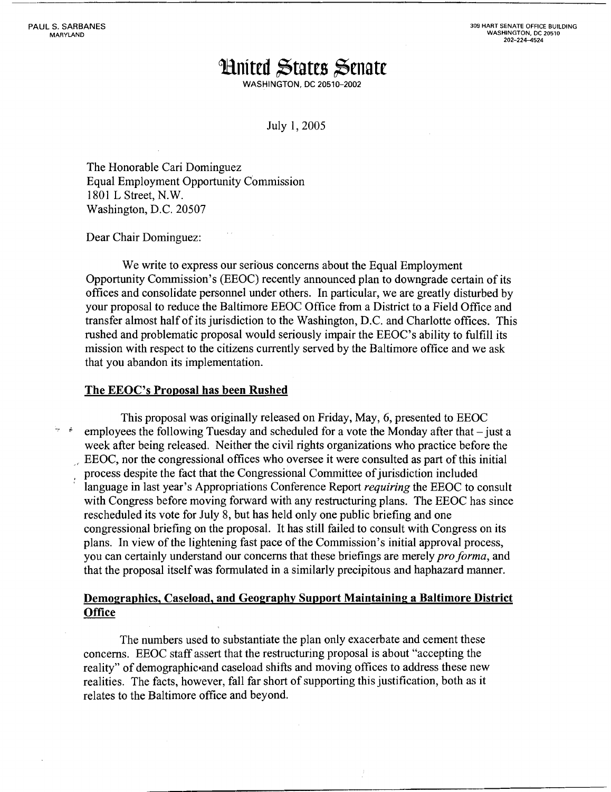**309 HART SENATE OFFICE BUILDING WASHINGTON, DC 20510 202-224-4524** 

# **Hnited States Senate**

**WASHINGTON, DC 20510-2002** 

July 1,2005

The Honorable Cari Dominguez Equal Employment Opportunity Commission 1801 L Street, N.W. Washington, D.C. 20507

Dear Chair Dominguez:

We write to express our serious concerns about the Equal Employment Opportunity Commission's (EEOC) recently announced plan to downgrade certain of its offices and consolidate personnel under others. In particular, we are greatly disturbed by your proposal to reduce the Baltimore EEOC Office from a District to a Field Office and transfer almost half of its jurisdiction to the Washington, D.C. and Charlotte offices. This rushed and problematic proposal would seriously impair the EEOC's ability to fulfill its mission with respect to the citizens currently served by the Baltimore office and we ask that you abandon its implementation.

### **The EEOC's Proposal has been Rushed**

This proposal was originally released on Friday, May, 6, presented to EEOC<br>
<sup>\*</sup> employees the following Tuesday and scheduled for a vote the Monday after that – just a week after being released. Neither the civil rights organizations who practice before the ,' EEOC, nor the congressional offices who oversee it were consulted as part of this initial , process despite the fact that the Congressional Committee of jurisdiction included language in last year's Appropriations Conference Report *requiring* the EEOC to consult with Congress before moving forward with any restructuring plans. The EEOC has since rescheduled its vote for July 8, but has held only one public briefing and one congressional briefing on the proposal. It has still failed to consult with Congress on its plans. In view of the lightening fast pace of the Commission's initial approval process, you can certainly understand our concerns that these briefings are merely *pro forma*, and that the proposal itself was formulated in a similarly precipitous and haphazard manner.

## **Demographics, Caseload, and Geography Support Maintaining a Baltimore District Office**

The numbers used to substantiate the plan only exacerbate and cement these concerns. EEOC staff assert that the restructuring proposal is about "accepting the reality" of demographic and caseload shifts and moving offices to address these new realities. The facts, however, fall far short of supporting this justification, both as it relates to the Baltimore office and beyond.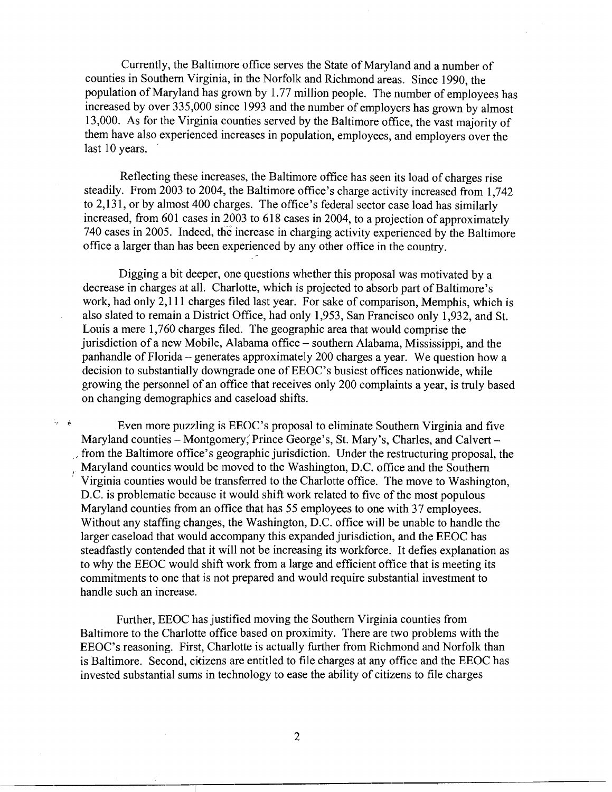Currently, the Baltimore office serves the State of Maryland and a number of counties in Southern Virginia, in the Norfolk and Richmond areas. Since 1990, the population of Maryland has grown by 1.77 million people. The number of employees has increased by over 335,000 since 1993 and the number of employers has grown by almost 13,000. As for the Virginia counties served by the Baltimore office, the vast majority of them have also experienced increases in population, employees, and employers over the last 10 years.

Reflecting these increases, the Baltimore office has seen its load of charges rise steadily. From 2003 to 2004, the Baltimore office's charge activity increased from 1,742 to 2,131, or by almost 400 charges. The office's federal sector case load has similarly increased, from  $601$  cases in 2003 to  $618$  cases in 2004, to a projection of approximately 740 cases in 2005. Indeed, the increase in charging activity experienced by the Baltimore office a larger than has been experienced by any other office in the country.

Digging a bit deeper, one questions whether this proposal was motivated by a decrease in charges at all. Charlotte, which is projected to absorb part of Baltimore's work, had only 2,111 charges filed last year. For sake of comparison, Memphis, which is also slated to remain a District Office, had only 1,953, San Francisco only 1,932, and St. Louis a mere 1,760 charges filed. The geographic area that would comprise the jurisdiction of a new Mobile, Alabama office - southern Alabama, Mississippi, and the panhandle of Florida - generates approximately 200 charges a year. We question how a decision to substantially downgrade one of EEOC's busiest offices nationwide, while growing the personnel of an office that receives only 200 complaints a year, is truly based on changing demographics and caseload shifts.

 $\frac{1}{2}$   $\dot{\bullet}$  Even more puzzling is EEOC's proposal to eliminate Southern Virginia and five Maryland counties - Montgomery, Prince George's, St. Mary's, Charles, and Calvert from the Baltimore office's geographic jurisdiction. Under the restructuring proposal, the , Maryland counties would be moved to the Washington, D.C. office and the Southern ' Virginia counties would be transferred to the Charlotte office. The move to Washington, D.C. is problematic because it would shifr work related to five of the most populous Maryland counties from an office that has 55 employees to one with 37 employees. Without any staffing changes, the Washington, D.C. office will be unable to handle the larger caseload that would accompany this expanded jurisdiction, and the EEOC has steadfastly contended that it will not be increasing its workforce. It defies explanation as to why the EEOC would shift work from a large and efficient office that is meeting its commitments to one that is not prepared and would require substantial investment to handle such an increase.

Further, EEOC has justified moving the Southern Virginia counties from Baltimore to the Charlotte office based on proximity. There are two problems with the EEOC's reasoning. First, Charlotte is actually further from Richmond and Norfolk than is Baltimore. Second, citizens are entitled to file charges at any office and the EEOC has invested substantial sums in technology to ease the ability of citizens to file charges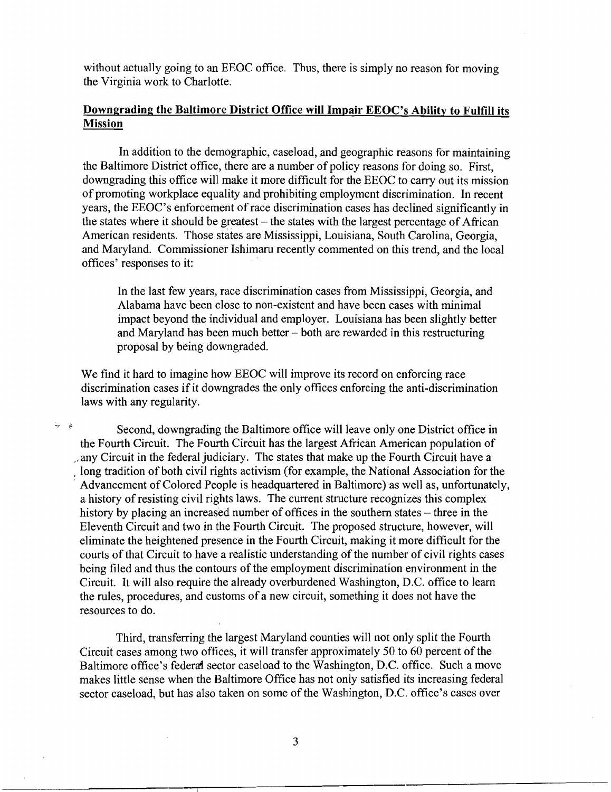without actually going to an EEOC office. Thus, there is simply no reason for moving the Virginia work to Charlotte.

## **Downgrading the Baltimore District Office will Impair EEOC's Ability to Fulfill its Mission**

In addition to the demographic, caseload, and geographic reasons for maintaining the Baltimore District office, there are a number of policy reasons for doing so. First, downgrading this office will make it more difficult for the EEOC to carry out its mission of promoting workplace equality and prohibiting employment discrimination. In recent years, the EEOC's enforcement of race discrimination cases has declined significantly in the states where it should be greatest – the states with the largest percentage of African American residents. Those states are Mississippi, Louisiana, South Carolina, Georgia, and Maryland. Commissioner Ishimaru recently commented on this trend, and the local offices' responses to it:

In the last few years, race discrimination cases from Mississippi, Georgia, and Alabama have been close to non-existent and have been cases with minimal impact beyond the individual and employer. Louisiana has been slightly better and Maryland has been much better - both are rewarded in this restructuring proposal by being downgraded.

We find it hard to imagine how EEOC will improve its record on enforcing race discrimination cases if it downgrades the only offices enforcing the anti-discrimination laws with any regularity.

 $\dot{\theta}$  Second, downgrading the Baltimore office will leave only one District office in the Fourth Circuit. The Fourth Circuit has the largest African American population of ,.any Circuit in the federal judiciary. The states that make up the Fourth Circuit have a , long tradition of both civil rights activism (for example, the National Association for the Advancement of Colored People is headquartered in Baltimore) as well as, unfortunately, a history of resisting civil rights laws. The current structure recognizes this complex history by placing an increased number of offices in the southern states – three in the Eleventh Circuit and two in the Fourth Circuit. The proposed structure, however, will eliminate the heightened presence in the Fourth Circuit, making it more difficult for the courts of that Circuit to have a realistic understanding of the number of civil rights cases being filed and thus the contours of the employment discrimination environment in the Circuit. It will also require the already overburdened Washington, D.C. office to learn the rules, procedures, and customs of a new circuit, something it does not have the resources to do.

Third, transferring the largest Maryland counties will not only split the Fourth Circuit cases among two offices, it will transfer approximately 50 to 60 percent of the Baltimore office's federal sector caseload to the Washington, D.C. office. Such a move makes little sense when the Baltimore Office has not only satisfied its increasing federal sector caseload, but has also taken on some of the Washington, D.C. office's cases over